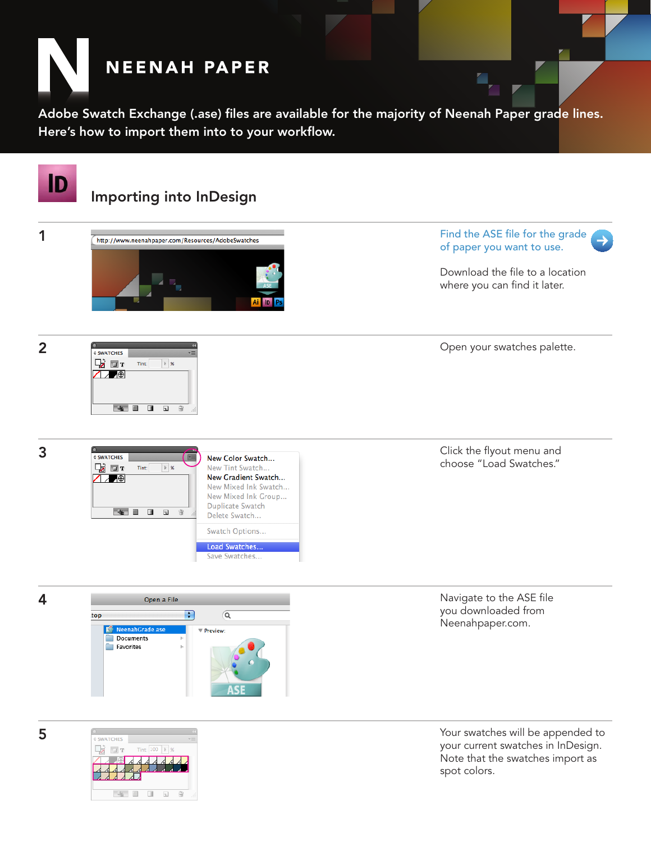

Adobe Swatch Exchange (.ase) files are available for the majority of Neenah Paper grade lines. Here's how to import them into to your workflow.



5

| <b>♦ SWATCHES</b> |                   |             |
|-------------------|-------------------|-------------|
| $\Box$ T          | Tint: 100   >   % |             |
|                   | Δ<br>4<br>4       |             |
|                   |                   |             |
|                   |                   |             |
|                   |                   |             |
|                   |                   | $-1111$<br> |

Your swatches will be appended to your current swatches in InDesign. Note that the swatches import as spot colors.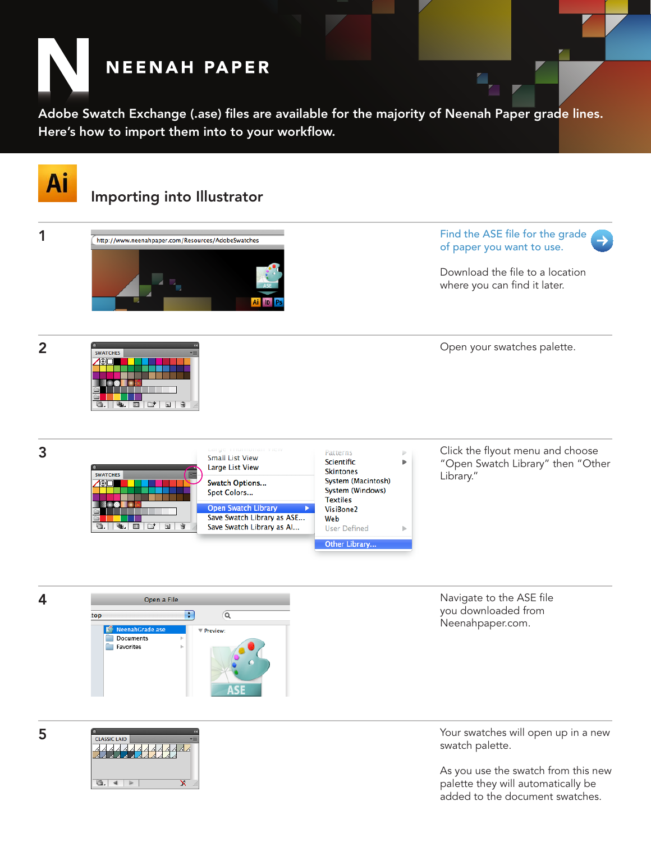

Adobe Swatch Exchange (.ase) files are available for the majority of Neenah Paper grade lines. Here's how to import them into to your workflow.



**CLASSIC LAID** 8887  $\overline{\mathbf{x}}$ 

5

Your swatches will open up in a new swatch palette.

As you use the swatch from this new palette they will automatically be added to the document swatches.